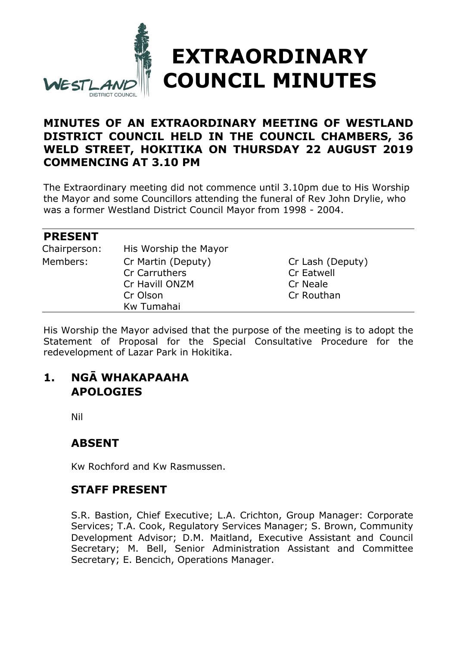

### **MINUTES OF AN EXTRAORDINARY MEETING OF WESTLAND DISTRICT COUNCIL HELD IN THE COUNCIL CHAMBERS, 36 WELD STREET, HOKITIKA ON THURSDAY 22 AUGUST 2019 COMMENCING AT 3.10 PM**

The Extraordinary meeting did not commence until 3.10pm due to His Worship the Mayor and some Councillors attending the funeral of Rev John Drylie, who was a former Westland District Council Mayor from 1998 - 2004.

#### **PRESENT**

| Chairperson: | His Worship the Mayor |                  |
|--------------|-----------------------|------------------|
| Members:     | Cr Martin (Deputy)    | Cr Lash (Deputy) |
|              | Cr Carruthers         | Cr Eatwell       |
|              | Cr Havill ONZM        | Cr Neale         |
|              | Cr Olson              | Cr Routhan       |
|              | Kw Tumahai            |                  |

His Worship the Mayor advised that the purpose of the meeting is to adopt the Statement of Proposal for the Special Consultative Procedure for the redevelopment of Lazar Park in Hokitika.

## **1. NGĀ WHAKAPAAHA APOLOGIES**

Nil

### **ABSENT**

Kw Rochford and Kw Rasmussen.

### **STAFF PRESENT**

S.R. Bastion, Chief Executive; L.A. Crichton, Group Manager: Corporate Services; T.A. Cook, Regulatory Services Manager; S. Brown, Community Development Advisor; D.M. Maitland, Executive Assistant and Council Secretary; M. Bell, Senior Administration Assistant and Committee Secretary; E. Bencich, Operations Manager.